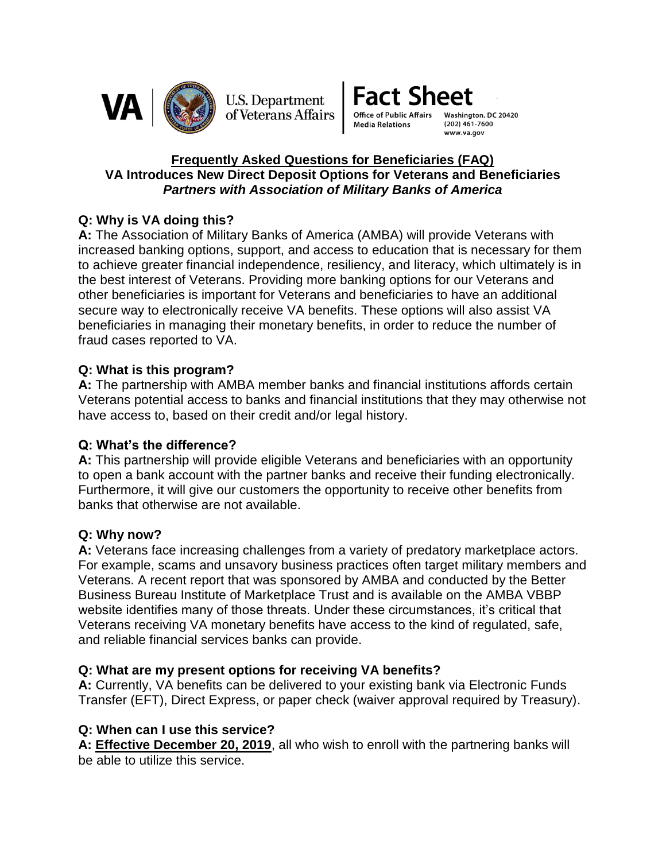

**U.S. Department** of Veterans Affairs **Fact Sheet** 

**Office of Public Affair Media Relations** 

Washington, DC 20420  $(202)$  461-7600 www.va.gov

## **Frequently Asked Questions for Beneficiaries (FAQ) VA Introduces New Direct Deposit Options for Veterans and Beneficiaries** *Partners with Association of Military Banks of America*

# **Q: Why is VA doing this?**

**A:** The Association of Military Banks of America (AMBA) will provide Veterans with increased banking options, support, and access to education that is necessary for them to achieve greater financial independence, resiliency, and literacy, which ultimately is in the best interest of Veterans. Providing more banking options for our Veterans and other beneficiaries is important for Veterans and beneficiaries to have an additional secure way to electronically receive VA benefits. These options will also assist VA beneficiaries in managing their monetary benefits, in order to reduce the number of fraud cases reported to VA.

# **Q: What is this program?**

**A:** The partnership with AMBA member banks and financial institutions affords certain Veterans potential access to banks and financial institutions that they may otherwise not have access to, based on their credit and/or legal history.

# **Q: What's the difference?**

**A:** This partnership will provide eligible Veterans and beneficiaries with an opportunity to open a bank account with the partner banks and receive their funding electronically. Furthermore, it will give our customers the opportunity to receive other benefits from banks that otherwise are not available.

# **Q: Why now?**

**A:** Veterans face increasing challenges from a variety of predatory marketplace actors. For example, scams and unsavory business practices often target military members and Veterans. A recent report that was sponsored by AMBA and conducted by the Better Business Bureau Institute of Marketplace Trust and is available on the AMBA VBBP website identifies many of those threats. Under these circumstances, it's critical that Veterans receiving VA monetary benefits have access to the kind of regulated, safe, and reliable financial services banks can provide.

# **Q: What are my present options for receiving VA benefits?**

**A:** Currently, VA benefits can be delivered to your existing bank via Electronic Funds Transfer (EFT), Direct Express, or paper check (waiver approval required by Treasury).

# **Q: When can I use this service?**

**A: Effective December 20, 2019**, all who wish to enroll with the partnering banks will be able to utilize this service.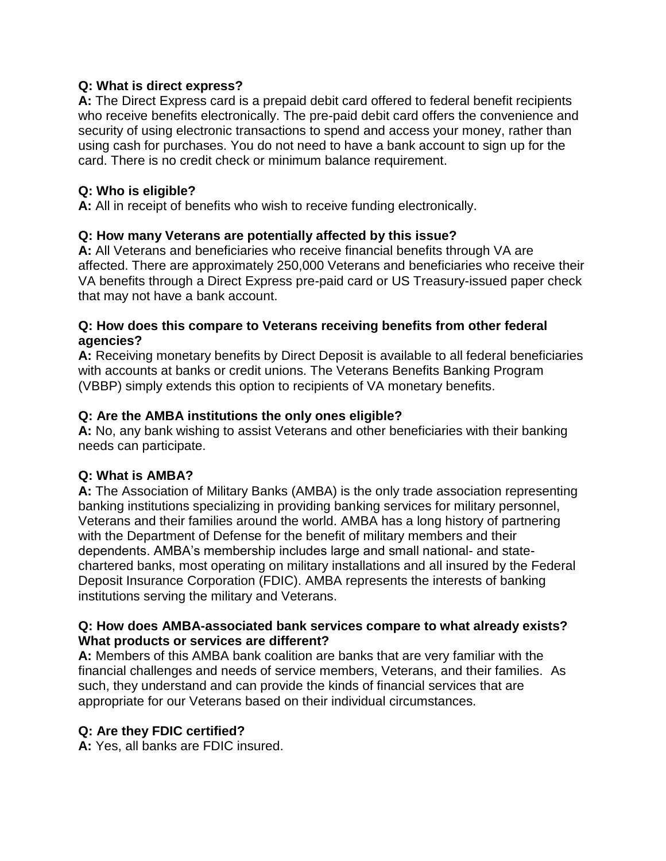## **Q: What is direct express?**

**A:** The Direct Express card is a prepaid debit card offered to federal benefit recipients who receive benefits electronically. The pre-paid debit card offers the convenience and security of using electronic transactions to spend and access your money, rather than using cash for purchases. You do not need to have a bank account to sign up for the card. There is no credit check or minimum balance requirement.

## **Q: Who is eligible?**

**A:** All in receipt of benefits who wish to receive funding electronically.

# **Q: How many Veterans are potentially affected by this issue?**

**A:** All Veterans and beneficiaries who receive financial benefits through VA are affected. There are approximately 250,000 Veterans and beneficiaries who receive their VA benefits through a Direct Express pre-paid card or US Treasury-issued paper check that may not have a bank account.

## **Q: How does this compare to Veterans receiving benefits from other federal agencies?**

**A:** Receiving monetary benefits by Direct Deposit is available to all federal beneficiaries with accounts at banks or credit unions. The Veterans Benefits Banking Program (VBBP) simply extends this option to recipients of VA monetary benefits.

## **Q: Are the AMBA institutions the only ones eligible?**

**A:** No, any bank wishing to assist Veterans and other beneficiaries with their banking needs can participate.

# **Q: What is AMBA?**

**A:** The Association of Military Banks (AMBA) is the only trade association representing banking institutions specializing in providing banking services for military personnel, Veterans and their families around the world. AMBA has a long history of partnering with the Department of Defense for the benefit of military members and their dependents. AMBA's membership includes large and small national- and statechartered banks, most operating on military installations and all insured by the Federal Deposit Insurance Corporation (FDIC). AMBA represents the interests of banking institutions serving the military and Veterans.

## **Q: How does AMBA-associated bank services compare to what already exists? What products or services are different?**

**A:** Members of this AMBA bank coalition are banks that are very familiar with the financial challenges and needs of service members, Veterans, and their families. As such, they understand and can provide the kinds of financial services that are appropriate for our Veterans based on their individual circumstances.

# **Q: Are they FDIC certified?**

**A:** Yes, all banks are FDIC insured.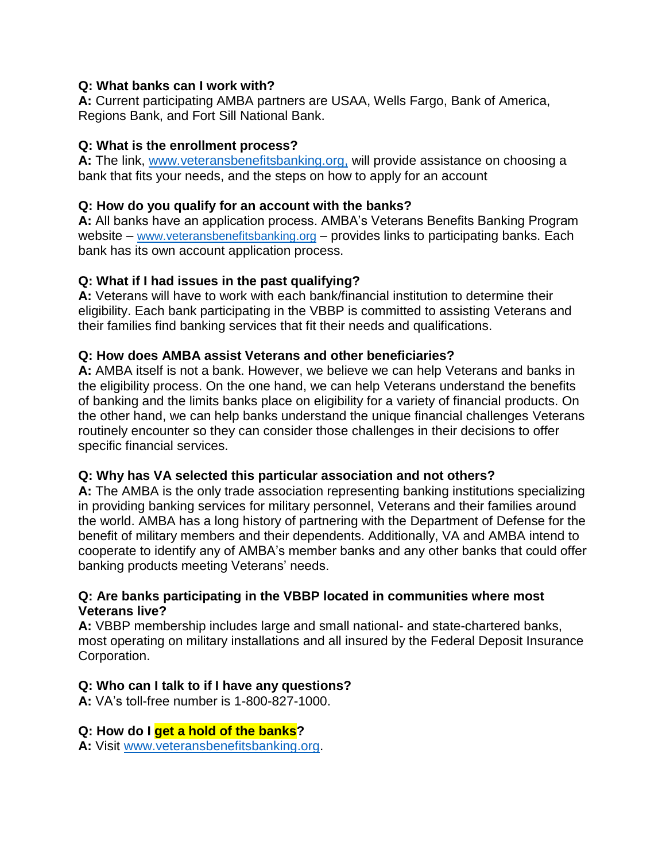## **Q: What banks can I work with?**

**A:** Current participating AMBA partners are USAA, Wells Fargo, Bank of America, Regions Bank, and Fort Sill National Bank.

# **Q: What is the enrollment process?**

**A:** The link, [www.veteransbenefitsbanking.org,](http://www.veteransbenefitsbanking.org/) will provide assistance on choosing a bank that fits your needs, and the steps on how to apply for an account

## **Q: How do you qualify for an account with the banks?**

**A:** All banks have an application process. AMBA's Veterans Benefits Banking Program website – [www.veteransbenefitsbanking.org](http://www.veteransbenefitsbanking.org/) – provides links to participating banks. Each bank has its own account application process.

# **Q: What if I had issues in the past qualifying?**

**A:** Veterans will have to work with each bank/financial institution to determine their eligibility. Each bank participating in the VBBP is committed to assisting Veterans and their families find banking services that fit their needs and qualifications.

## **Q: How does AMBA assist Veterans and other beneficiaries?**

**A:** AMBA itself is not a bank. However, we believe we can help Veterans and banks in the eligibility process. On the one hand, we can help Veterans understand the benefits of banking and the limits banks place on eligibility for a variety of financial products. On the other hand, we can help banks understand the unique financial challenges Veterans routinely encounter so they can consider those challenges in their decisions to offer specific financial services.

# **Q: Why has VA selected this particular association and not others?**

**A:** The AMBA is the only trade association representing banking institutions specializing in providing banking services for military personnel, Veterans and their families around the world. AMBA has a long history of partnering with the Department of Defense for the benefit of military members and their dependents. Additionally, VA and AMBA intend to cooperate to identify any of AMBA's member banks and any other banks that could offer banking products meeting Veterans' needs.

#### **Q: Are banks participating in the VBBP located in communities where most Veterans live?**

**A:** VBBP membership includes large and small national- and state-chartered banks, most operating on military installations and all insured by the Federal Deposit Insurance Corporation.

# **Q: Who can I talk to if I have any questions?**

**A:** VA's toll-free number is 1-800-827-1000.

# **Q: How do I get a hold of the banks?**

**A:** Visit [www.veteransbenefitsbanking.org.](http://www.veteransbenefitsbanking.org/)